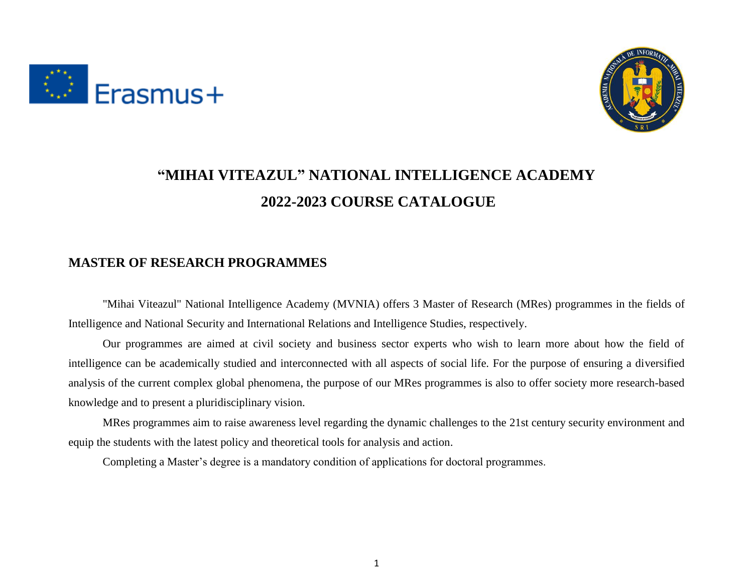



## **"MIHAI VITEAZUL" NATIONAL INTELLIGENCE ACADEMY 2022-2023 COURSE CATALOGUE**

#### **MASTER OF RESEARCH PROGRAMMES**

"Mihai Viteazul" National Intelligence Academy (MVNIA) offers 3 Master of Research (MRes) programmes in the fields of Intelligence and National Security and International Relations and Intelligence Studies, respectively.

Our programmes are aimed at civil society and business sector experts who wish to learn more about how the field of intelligence can be academically studied and interconnected with all aspects of social life. For the purpose of ensuring a diversified analysis of the current complex global phenomena, the purpose of our MRes programmes is also to offer society more research-based knowledge and to present a pluridisciplinary vision.

MRes programmes aim to raise awareness level regarding the dynamic challenges to the 21st century security environment and equip the students with the latest policy and theoretical tools for analysis and action.

Completing a Master's degree is a mandatory condition of applications for doctoral programmes.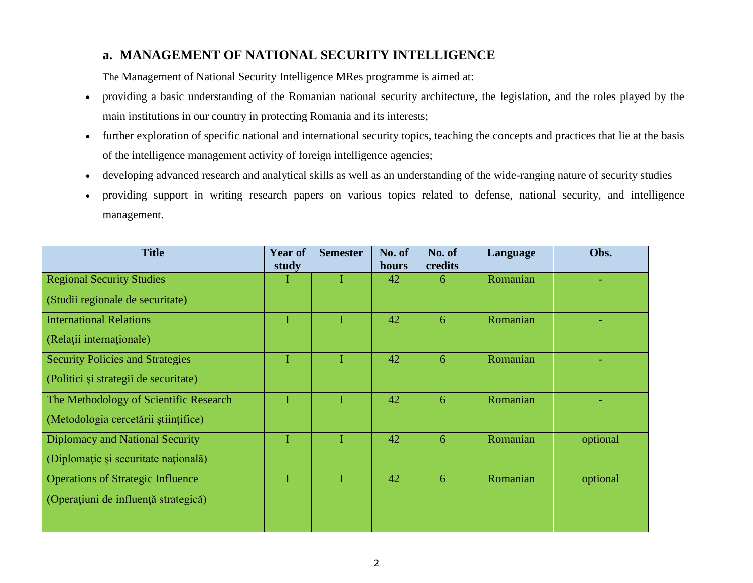#### **a. MANAGEMENT OF NATIONAL SECURITY INTELLIGENCE**

The Management of National Security Intelligence MRes programme is aimed at:

- providing a basic understanding of the Romanian national security architecture, the legislation, and the roles played by the main institutions in our country in protecting Romania and its interests;
- further exploration of specific national and international security topics, teaching the concepts and practices that lie at the basis of the intelligence management activity of foreign intelligence agencies;
- developing advanced research and analytical skills as well as an understanding of the wide-ranging nature of security studies
- providing support in writing research papers on various topics related to defense, national security, and intelligence management.

| <b>Title</b>                             | Year of<br>study | <b>Semester</b> | No. of<br>hours | No. of<br>credits | Language | Obs.     |
|------------------------------------------|------------------|-----------------|-----------------|-------------------|----------|----------|
| <b>Regional Security Studies</b>         |                  |                 | 42              | 6                 | Romanian |          |
| (Studii regionale de securitate)         |                  |                 |                 |                   |          |          |
| <b>International Relations</b>           |                  |                 | 42              | 6                 | Romanian |          |
| (Relații internaționale)                 |                  |                 |                 |                   |          |          |
| <b>Security Policies and Strategies</b>  | L                |                 | 42              | 6                 | Romanian |          |
| (Politici și strategii de securitate)    |                  |                 |                 |                   |          |          |
| The Methodology of Scientific Research   |                  |                 | 42              | 6                 | Romanian |          |
| (Metodologia cercetării științifice)     |                  |                 |                 |                   |          |          |
| Diplomacy and National Security          |                  |                 | 42              | 6                 | Romanian | optional |
| (Diplomație și securitate națională)     |                  |                 |                 |                   |          |          |
| <b>Operations of Strategic Influence</b> |                  |                 | 42              | 6                 | Romanian | optional |
| (Operațiuni de influență strategică)     |                  |                 |                 |                   |          |          |
|                                          |                  |                 |                 |                   |          |          |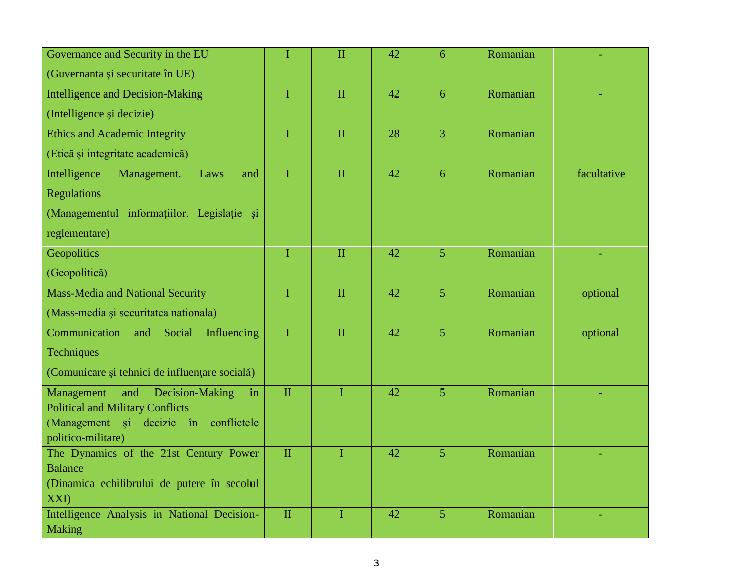| Governance and Security in the EU                              | $\mathbf I$  | $\Pi$          | 42 | 6              | Romanian |             |
|----------------------------------------------------------------|--------------|----------------|----|----------------|----------|-------------|
| (Guvernanta și securitate în UE)                               |              |                |    |                |          |             |
| <b>Intelligence and Decision-Making</b>                        | $\bf{I}$     | $\mathbf{I}$   | 42 | 6              | Romanian |             |
| (Intelligence și decizie)                                      |              |                |    |                |          |             |
| <b>Ethics and Academic Integrity</b>                           | $\bf{I}$     | $\mathbf{I}$   | 28 | $\overline{3}$ | Romanian |             |
| (Etică și integritate academică)                               |              |                |    |                |          |             |
| Intelligence<br>Management.<br>Laws<br>and                     | I            | $\mathbf{I}$   | 42 | 6              | Romanian | facultative |
| <b>Regulations</b>                                             |              |                |    |                |          |             |
| (Managementul informatiilor. Legislatie și                     |              |                |    |                |          |             |
| reglementare)                                                  |              |                |    |                |          |             |
| Geopolitics                                                    | $\bf{I}$     | $\mathbf{I}$   | 42 | 5 <sup>5</sup> | Romanian |             |
| (Geopolitică)                                                  |              |                |    |                |          |             |
| <b>Mass-Media and National Security</b>                        | $\mathbf I$  | $\mathbf{I}$   | 42 | 5 <sup>5</sup> | Romanian | optional    |
| (Mass-media și securitatea nationala)                          |              |                |    |                |          |             |
| Communication<br>Social<br>Influencing<br>and                  | $\mathbf I$  | $\mathbf{I}$   | 42 | $\overline{5}$ | Romanian | optional    |
| Techniques                                                     |              |                |    |                |          |             |
| (Comunicare și tehnici de influențare socială)                 |              |                |    |                |          |             |
| Management<br>and<br>Decision-Making<br>in                     | $\mathbf{I}$ | $\overline{I}$ | 42 | $\overline{5}$ | Romanian |             |
| <b>Political and Military Conflicts</b>                        |              |                |    |                |          |             |
| (Management și decizie în<br>conflictele<br>politico-militare) |              |                |    |                |          |             |
| The Dynamics of the 21st Century Power                         | $\mathbf{I}$ | $\mathbf{I}$   | 42 | $\overline{5}$ | Romanian |             |
| <b>Balance</b>                                                 |              |                |    |                |          |             |
| (Dinamica echilibrului de putere în secolul                    |              |                |    |                |          |             |
| XXI)                                                           |              |                |    |                |          |             |
| Intelligence Analysis in National Decision-                    | $\mathbf{I}$ | $\mathbf I$    | 42 | $\overline{5}$ | Romanian |             |
| <b>Making</b>                                                  |              |                |    |                |          |             |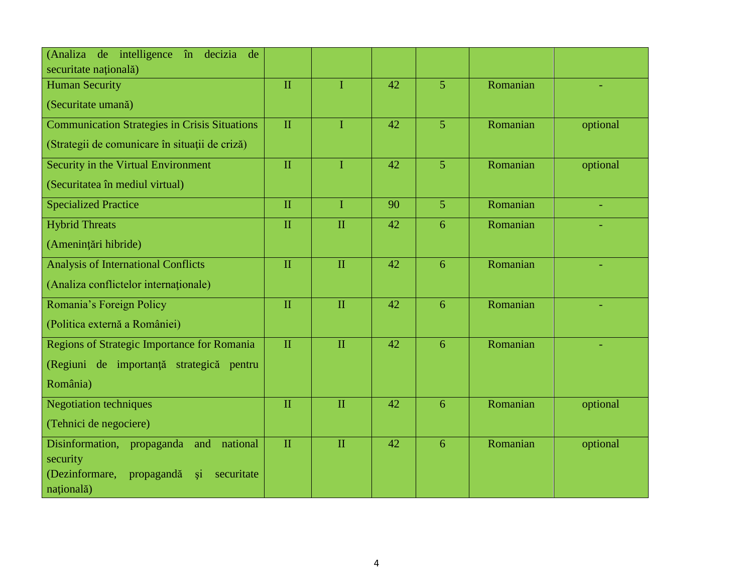| (Analiza<br>de intelligence în decizia<br>de                 |              |              |    |                |          |          |
|--------------------------------------------------------------|--------------|--------------|----|----------------|----------|----------|
| securitate națională)                                        |              |              |    |                |          |          |
| <b>Human Security</b>                                        | $\mathbf{I}$ | L            | 42 | $\overline{5}$ | Romanian |          |
| (Securitate umană)                                           |              |              |    |                |          |          |
| <b>Communication Strategies in Crisis Situations</b>         | $\mathbf{I}$ | T            | 42 | $\overline{5}$ | Romanian | optional |
| (Strategii de comunicare în situații de criză)               |              |              |    |                |          |          |
| Security in the Virtual Environment                          | $\mathbf{I}$ | $\mathbf{I}$ | 42 | $\overline{5}$ | Romanian | optional |
| (Securitatea în mediul virtual)                              |              |              |    |                |          |          |
| <b>Specialized Practice</b>                                  | $\mathbf{I}$ | $\mathbf{I}$ | 90 | $\overline{5}$ | Romanian |          |
| <b>Hybrid Threats</b>                                        | $\mathbf{I}$ | $\mathbf{I}$ | 42 | 6              | Romanian |          |
| (Amenințări hibride)                                         |              |              |    |                |          |          |
| <b>Analysis of International Conflicts</b>                   | $\mathbf{I}$ | $\Pi$        | 42 | 6              | Romanian |          |
| (Analiza conflictelor internationale)                        |              |              |    |                |          |          |
| Romania's Foreign Policy                                     | $\mathbf{I}$ | $\mathbf{I}$ | 42 | 6              | Romanian |          |
| (Politica externă a României)                                |              |              |    |                |          |          |
| Regions of Strategic Importance for Romania                  | $\mathbf{I}$ | $\mathbf{I}$ | 42 | 6              | Romanian |          |
| (Regiuni de importanță strategică pentru                     |              |              |    |                |          |          |
| România)                                                     |              |              |    |                |          |          |
| <b>Negotiation techniques</b>                                | $\mathbf{I}$ | $\mathbf{I}$ | 42 | 6              | Romanian | optional |
| (Tehnici de negociere)                                       |              |              |    |                |          |          |
| Disinformation,<br>propaganda<br>national<br>and             | $\mathbf{I}$ | $\mathbf{I}$ | 42 | 6              | Romanian | optional |
| security                                                     |              |              |    |                |          |          |
| (Dezinformare,<br>propagandă<br>securitate<br><sub>\$1</sub> |              |              |    |                |          |          |
| națională)                                                   |              |              |    |                |          |          |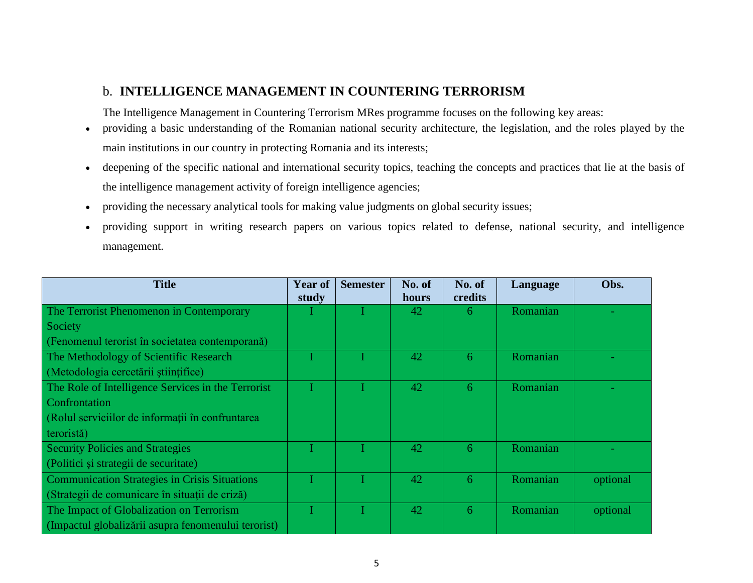#### b. **INTELLIGENCE MANAGEMENT IN COUNTERING TERRORISM**

The Intelligence Management in Countering Terrorism MRes programme focuses on the following key areas:

- providing a basic understanding of the Romanian national security architecture, the legislation, and the roles played by the main institutions in our country in protecting Romania and its interests;
- deepening of the specific national and international security topics, teaching the concepts and practices that lie at the basis of the intelligence management activity of foreign intelligence agencies;
- providing the necessary analytical tools for making value judgments on global security issues;
- providing support in writing research papers on various topics related to defense, national security, and intelligence management.

| <b>Title</b>                                         | <b>Year of</b><br>study | <b>Semester</b> | No. of<br>hours | No. of<br>credits | Language | Obs.     |
|------------------------------------------------------|-------------------------|-----------------|-----------------|-------------------|----------|----------|
| The Terrorist Phenomenon in Contemporary             |                         |                 | 42              | -6                | Romanian |          |
| Society                                              |                         |                 |                 |                   |          |          |
| (Fenomenul terorist în societatea contemporană)      |                         |                 |                 |                   |          |          |
| The Methodology of Scientific Research               |                         |                 | 42              | 6                 | Romanian |          |
| (Metodologia cercetării științifice)                 |                         |                 |                 |                   |          |          |
| The Role of Intelligence Services in the Terrorist   |                         |                 | 42              | 6                 | Romanian |          |
| Confrontation                                        |                         |                 |                 |                   |          |          |
| (Rolul serviciilor de informații în confruntarea     |                         |                 |                 |                   |          |          |
| teroristă)                                           |                         |                 |                 |                   |          |          |
| <b>Security Policies and Strategies</b>              |                         |                 | 42              | 6                 | Romanian |          |
| (Politici și strategii de securitate)                |                         |                 |                 |                   |          |          |
| <b>Communication Strategies in Crisis Situations</b> |                         |                 | 42              | 6                 | Romanian | optional |
| (Strategii de comunicare în situații de criză)       |                         |                 |                 |                   |          |          |
| The Impact of Globalization on Terrorism             |                         |                 | 42              | 6                 | Romanian | optional |
| (Impactul globalizării asupra fenomenului terorist)  |                         |                 |                 |                   |          |          |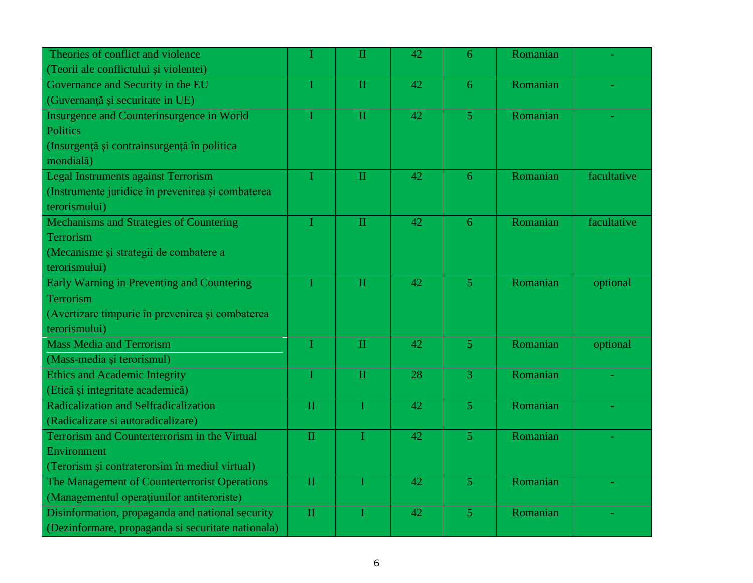| Theories of conflict and violence                  |              | $\overline{\rm II}$     | 42 | 6              | Romanian |             |
|----------------------------------------------------|--------------|-------------------------|----|----------------|----------|-------------|
| (Teorii ale conflictului și violentei)             |              |                         |    |                |          |             |
| Governance and Security in the EU                  |              | $\overline{\mathbf{H}}$ | 42 | 6              | Romanian |             |
| (Guvernanță și securitate in UE)                   |              |                         |    |                |          |             |
| Insurgence and Counterinsurgence in World          | T            | $\overline{\mathbf{H}}$ | 42 | $\overline{5}$ | Romanian |             |
| <b>Politics</b>                                    |              |                         |    |                |          |             |
| (Insurgență și contrainsurgență în politica        |              |                         |    |                |          |             |
| mondială)                                          |              |                         |    |                |          |             |
| Legal Instruments against Terrorism                |              | $\mathbf{H}$            | 42 | 6              | Romanian | facultative |
| (Instrumente juridice în prevenirea și combaterea  |              |                         |    |                |          |             |
| terorismului)                                      |              |                         |    |                |          |             |
| Mechanisms and Strategies of Countering            |              | $\overline{\mathbf{H}}$ | 42 | 6              | Romanian | facultative |
| Terrorism                                          |              |                         |    |                |          |             |
| (Mecanisme și strategii de combatere a             |              |                         |    |                |          |             |
| terorismului)                                      |              |                         |    |                |          |             |
| Early Warning in Preventing and Countering         |              | $\overline{\mathbf{H}}$ | 42 | $\overline{5}$ | Romanian | optional    |
| Terrorism                                          |              |                         |    |                |          |             |
| (Avertizare timpurie în prevenirea și combaterea   |              |                         |    |                |          |             |
| terorismului)                                      |              |                         |    |                |          |             |
| <b>Mass Media and Terrorism</b>                    |              | $\mathbf{H}$            | 42 | $\overline{5}$ | Romanian | optional    |
| (Mass-media și terorismul)                         |              |                         |    |                |          |             |
| <b>Ethics and Academic Integrity</b>               |              | $\overline{\mathbf{H}}$ | 28 | $\overline{3}$ | Romanian |             |
| (Etică și integritate academică)                   |              |                         |    |                |          |             |
| Radicalization and Selfradicalization              | $\mathbf{H}$ | T                       | 42 | $\overline{5}$ | Romanian |             |
| (Radicalizare si autoradicalizare)                 |              |                         |    |                |          |             |
| Terrorism and Counterterrorism in the Virtual      | $\mathbf{H}$ |                         | 42 | $\overline{5}$ | Romanian |             |
| Environment                                        |              |                         |    |                |          |             |
| (Terorism și contraterorsim în mediul virtual)     |              |                         |    |                |          |             |
| The Management of Counterterrorist Operations      | $\mathbf{H}$ |                         | 42 | 5              | Romanian |             |
| (Managementul operațiunilor antiteroriste)         |              |                         |    |                |          |             |
| Disinformation, propaganda and national security   | $\mathbf{H}$ |                         | 42 | 5              | Romanian |             |
| (Dezinformare, propaganda si securitate nationala) |              |                         |    |                |          |             |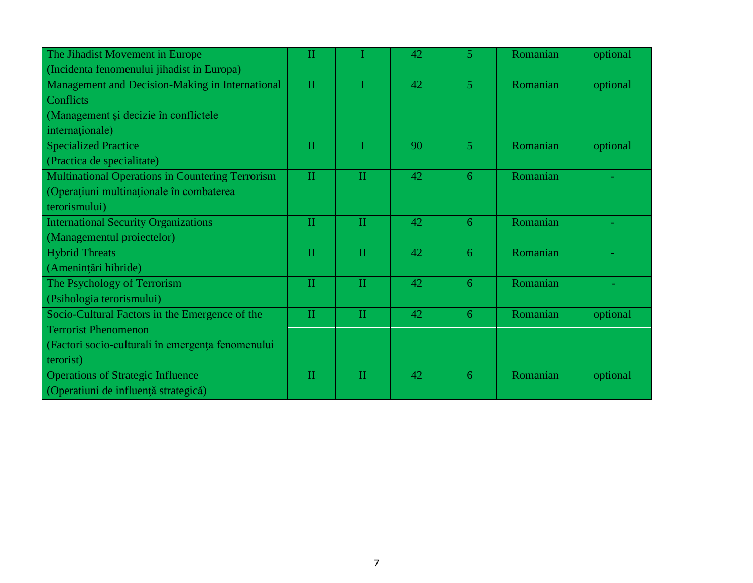| The Jihadist Movement in Europe                         | П            |              | 42 | 5              | Romanian | optional |
|---------------------------------------------------------|--------------|--------------|----|----------------|----------|----------|
| (Incidenta fenomenului jihadist in Europa)              |              |              |    |                |          |          |
| Management and Decision-Making in International         | $\mathbf{I}$ |              | 42 | $\overline{5}$ | Romanian | optional |
| <b>Conflicts</b>                                        |              |              |    |                |          |          |
| (Management și decizie în conflictele                   |              |              |    |                |          |          |
| internationale)                                         |              |              |    |                |          |          |
| <b>Specialized Practice</b>                             | $\mathbf{I}$ |              | 90 | $\overline{5}$ | Romanian | optional |
| (Practica de specialitate)                              |              |              |    |                |          |          |
| <b>Multinational Operations in Countering Terrorism</b> | $\mathbf{H}$ | $\mathbf{H}$ | 42 | 6              | Romanian |          |
| (Operațiuni multinaționale în combaterea                |              |              |    |                |          |          |
| terorismului)                                           |              |              |    |                |          |          |
| <b>International Security Organizations</b>             | П            | $\mathbf{I}$ | 42 | 6              | Romanian |          |
| (Managementul proiectelor)                              |              |              |    |                |          |          |
| <b>Hybrid Threats</b>                                   | $\mathbf{I}$ | $\mathbf{H}$ | 42 | 6              | Romanian |          |
| (Amenințări hibride)                                    |              |              |    |                |          |          |
| The Psychology of Terrorism                             | $\mathbf{I}$ | $\mathbf{H}$ | 42 | 6              | Romanian |          |
| (Psihologia terorismului)                               |              |              |    |                |          |          |
| Socio-Cultural Factors in the Emergence of the          | $\mathbf{H}$ | $\mathbf{I}$ | 42 | 6              | Romanian | optional |
| <b>Terrorist Phenomenon</b>                             |              |              |    |                |          |          |
| (Factori socio-culturali în emergența fenomenului       |              |              |    |                |          |          |
| terorist)                                               |              |              |    |                |          |          |
| <b>Operations of Strategic Influence</b>                | $\mathbf{H}$ | $\mathbf{I}$ | 42 | 6              | Romanian | optional |
| (Operatiuni de influență strategică)                    |              |              |    |                |          |          |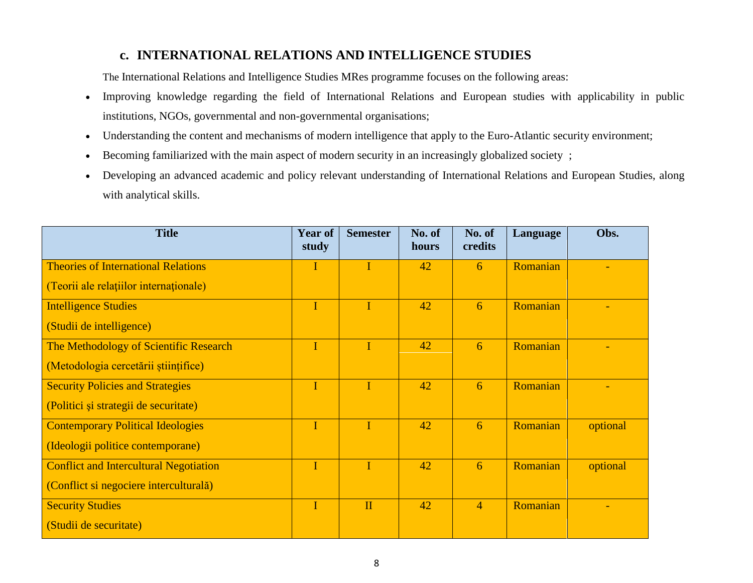#### **c. INTERNATIONAL RELATIONS AND INTELLIGENCE STUDIES**

The International Relations and Intelligence Studies MRes programme focuses on the following areas:

- Improving knowledge regarding the field of International Relations and European studies with applicability in public institutions, NGOs, governmental and non-governmental organisations;
- Understanding the content and mechanisms of modern intelligence that apply to the Euro-Atlantic security environment;
- Becoming familiarized with the main aspect of modern security in an increasingly globalized society ;
- Developing an advanced academic and policy relevant understanding of International Relations and European Studies, along with analytical skills.

| <b>Title</b>                                  | <b>Year of</b><br>study | <b>Semester</b> | No. of<br>hours | No. of<br>credits | Language | Obs.     |
|-----------------------------------------------|-------------------------|-----------------|-----------------|-------------------|----------|----------|
| <b>Theories of International Relations</b>    |                         | I               | 42              | 6                 | Romanian |          |
| (Teorii ale relațiilor internaționale)        |                         |                 |                 |                   |          |          |
| <b>Intelligence Studies</b>                   | I                       | T               | 42              | 6                 | Romanian |          |
| (Studii de intelligence)                      |                         |                 |                 |                   |          |          |
| The Methodology of Scientific Research        | T                       | T               | 42              | 6                 | Romanian |          |
| (Metodologia cercetării științifice)          |                         |                 |                 |                   |          |          |
| <b>Security Policies and Strategies</b>       | I                       | T               | 42              | 6                 | Romanian |          |
| (Politici și strategii de securitate)         |                         |                 |                 |                   |          |          |
| <b>Contemporary Political Ideologies</b>      | I                       | I               | 42              | 6                 | Romanian | optional |
| (Ideologii politice contemporane)             |                         |                 |                 |                   |          |          |
| <b>Conflict and Intercultural Negotiation</b> |                         |                 | 42              | 6                 | Romanian | optional |
| (Conflict si negociere interculturală)        |                         |                 |                 |                   |          |          |
| <b>Security Studies</b>                       | I                       | $\mathbf{I}$    | 42              | $\overline{4}$    | Romanian |          |
| (Studii de securitate)                        |                         |                 |                 |                   |          |          |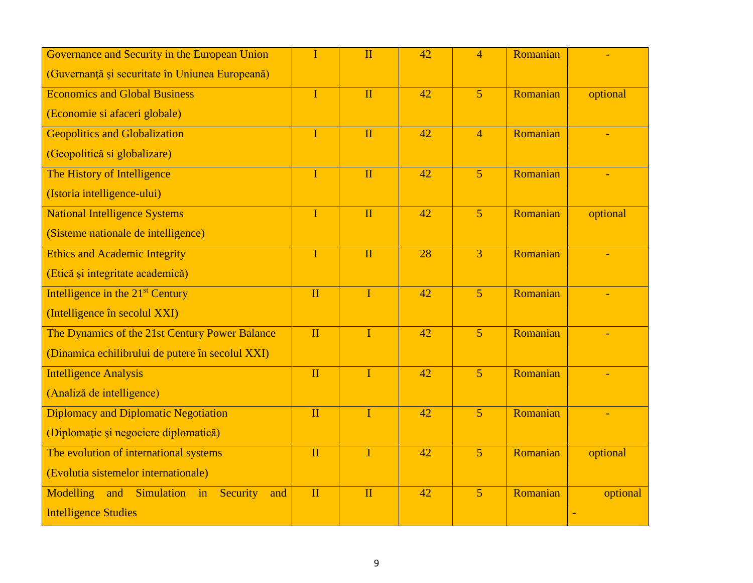| Governance and Security in the European Union     | I                       | $\mathbf{I}$ | 42 | $\overline{4}$ | Romanian |          |
|---------------------------------------------------|-------------------------|--------------|----|----------------|----------|----------|
| (Guvernanță și securitate în Uniunea Europeană)   |                         |              |    |                |          |          |
| <b>Economics and Global Business</b>              | $\overline{I}$          | $\mathbf{I}$ | 42 | 5 <sup>5</sup> | Romanian | optional |
| (Economie si afaceri globale)                     |                         |              |    |                |          |          |
| <b>Geopolitics and Globalization</b>              | $\mathbf I$             | $\mathbf{I}$ | 42 | $\overline{4}$ | Romanian |          |
| (Geopolitică și globalizare)                      |                         |              |    |                |          |          |
| The History of Intelligence                       | $\mathbf I$             | $\mathbf{I}$ | 42 | $\overline{5}$ | Romanian |          |
| (Istoria intelligence-ului)                       |                         |              |    |                |          |          |
| <b>National Intelligence Systems</b>              | $\mathbf I$             | $\mathbf{I}$ | 42 | 5 <sup>1</sup> | Romanian | optional |
| (Sisteme nationale de intelligence)               |                         |              |    |                |          |          |
| <b>Ethics and Academic Integrity</b>              | $\mathbf I$             | $\mathbf{I}$ | 28 | $\overline{3}$ | Romanian |          |
| (Etică și integritate academică)                  |                         |              |    |                |          |          |
| Intelligence in the 21 <sup>st</sup> Century      | $\mathbf{I}$            | $\mathbf I$  | 42 | $\overline{5}$ | Romanian |          |
| (Intelligence în secolul XXI)                     |                         |              |    |                |          |          |
| The Dynamics of the 21st Century Power Balance    | $\overline{\mathbf{H}}$ | $\mathbf{I}$ | 42 | $\overline{5}$ | Romanian |          |
| (Dinamica echilibrului de putere în secolul XXI)  |                         |              |    |                |          |          |
| <b>Intelligence Analysis</b>                      | $\mathbf{I}$            | $\mathbf{I}$ | 42 | $\overline{5}$ | Romanian |          |
| (Analiză de intelligence)                         |                         |              |    |                |          |          |
| <b>Diplomacy and Diplomatic Negotiation</b>       | $\mathbf{I}$            | $\mathbf I$  | 42 | $\overline{5}$ | Romanian |          |
| (Diplomație și negociere diplomatică)             |                         |              |    |                |          |          |
| The evolution of international systems            | $\mathbf{I}$            | $\mathbf I$  | 42 | $\overline{5}$ | Romanian | optional |
| (Evolutia sistemelor internationale)              |                         |              |    |                |          |          |
| Simulation in<br>Modelling and<br>Security<br>and | $\mathbf{I}$            | $\mathbf{I}$ | 42 | 5 <sup>1</sup> | Romanian | optional |
| <b>Intelligence Studies</b>                       |                         |              |    |                |          |          |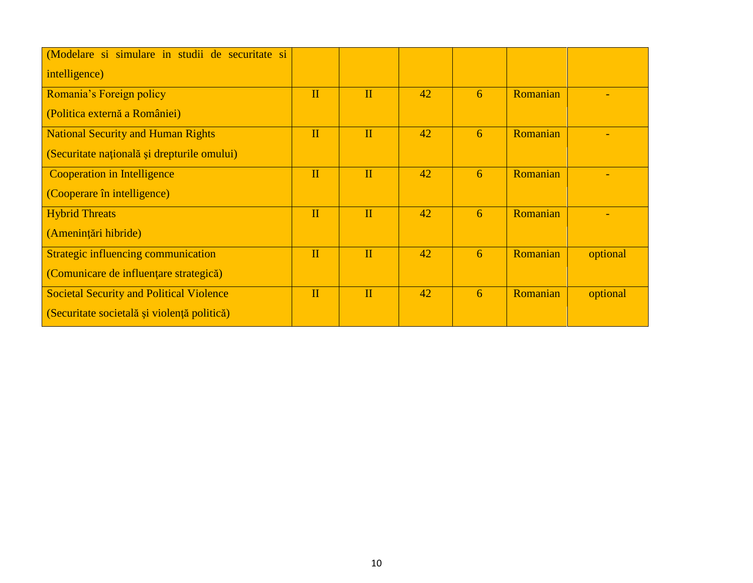| Modelare si simulare in studii de securitate si |              |              |    |   |          |          |
|-------------------------------------------------|--------------|--------------|----|---|----------|----------|
| intelligence)                                   |              |              |    |   |          |          |
| Romania's Foreign policy                        | $\mathbf{I}$ | $\mathbf{I}$ | 42 | 6 | Romanian |          |
| (Politica externă a României)                   |              |              |    |   |          |          |
| <b>National Security and Human Rights</b>       | $\mathbf{I}$ | $\mathbf{I}$ | 42 | 6 | Romanian |          |
| (Securitate națională și drepturile omului)     |              |              |    |   |          |          |
| Cooperation in Intelligence                     | $\mathbf{I}$ | $\mathbf{I}$ | 42 | 6 | Romanian |          |
| (Cooperare în intelligence)                     |              |              |    |   |          |          |
| <b>Hybrid Threats</b>                           | $\mathbf{I}$ | $\mathbf{I}$ | 42 | 6 | Romanian |          |
| (Amenințări hibride)                            |              |              |    |   |          |          |
| Strategic influencing communication             | $\mathbf{I}$ | $\mathbf{I}$ | 42 | 6 | Romanian | optional |
| (Comunicare de influențare strategică)          |              |              |    |   |          |          |
| <b>Societal Security and Political Violence</b> | $\mathbf{I}$ | $\mathbf{I}$ | 42 | 6 | Romanian | optional |
| (Securitate societală și violență politică)     |              |              |    |   |          |          |